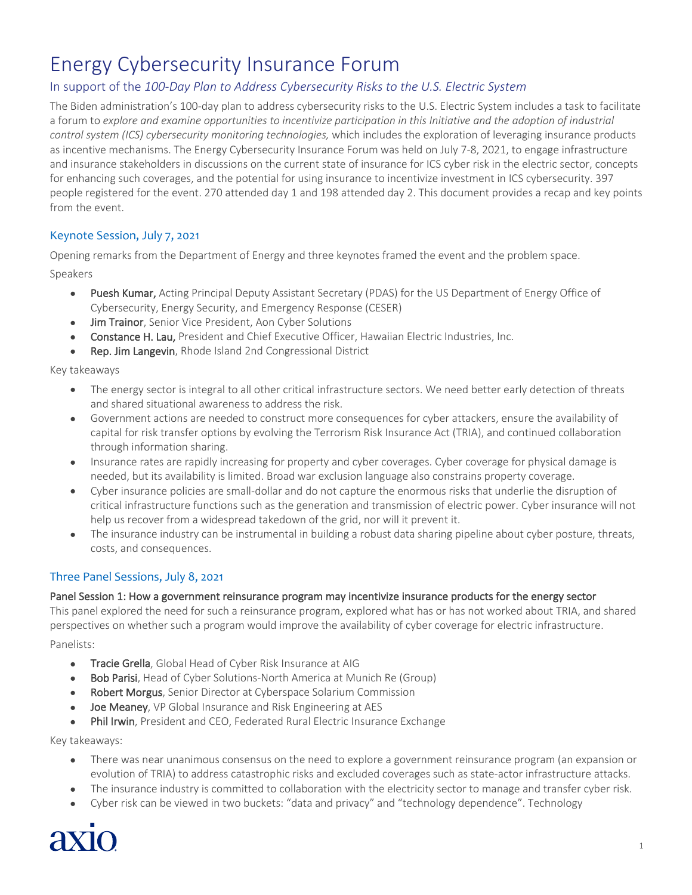# Energy Cybersecurity Insurance Forum

# In support of the *100-Day Plan to Address Cybersecurity Risks to the U.S. Electric System*

The Biden administration's 100-day plan to address cybersecurity risks to the U.S. Electric System includes a task to facilitate a forum to *explore and examine opportunities to incentivize participation in this Initiative and the adoption of industrial control system (ICS) cybersecurity monitoring technologies,* which includes the exploration of leveraging insurance products as incentive mechanisms. The Energy Cybersecurity Insurance Forum was held on July 7-8, 2021, to engage infrastructure and insurance stakeholders in discussions on the current state of insurance for ICS cyber risk in the electric sector, concepts for enhancing such coverages, and the potential for using insurance to incentivize investment in ICS cybersecurity. 397 people registered for the event. 270 attended day 1 and 198 attended day 2. This document provides a recap and key points from the event.

## Keynote Session, July 7, 2021

Opening remarks from the Department of Energy and three keynotes framed the event and the problem space.

#### Speakers

- Puesh Kumar, Acting Principal Deputy Assistant Secretary (PDAS) for the US Department of Energy Office of Cybersecurity, Energy Security, and Emergency Response (CESER)
- Jim Trainor, Senior Vice President, Aon Cyber Solutions
- Constance H. Lau, President and Chief Executive Officer, Hawaiian Electric Industries, Inc.
- Rep. Jim Langevin, Rhode Island 2nd Congressional District

Key takeaways

- The energy sector is integral to all other critical infrastructure sectors. We need better early detection of threats and shared situational awareness to address the risk.
- Government actions are needed to construct more consequences for cyber attackers, ensure the availability of capital for risk transfer options by evolving the Terrorism Risk Insurance Act (TRIA), and continued collaboration through information sharing.
- Insurance rates are rapidly increasing for property and cyber coverages. Cyber coverage for physical damage is needed, but its availability is limited. Broad war exclusion language also constrains property coverage.
- Cyber insurance policies are small-dollar and do not capture the enormous risks that underlie the disruption of critical infrastructure functions such as the generation and transmission of electric power. Cyber insurance will not help us recover from a widespread takedown of the grid, nor will it prevent it.
- The insurance industry can be instrumental in building a robust data sharing pipeline about cyber posture, threats, costs, and consequences.

### Three Panel Sessions, July 8, 2021

#### Panel Session 1: How a government reinsurance program may incentivize insurance products for the energy sector

This panel explored the need for such a reinsurance program, explored what has or has not worked about TRIA, and shared perspectives on whether such a program would improve the availability of cyber coverage for electric infrastructure.

Panelists:

- Tracie Grella, Global Head of Cyber Risk Insurance at AIG
- Bob Parisi, Head of Cyber Solutions-North America at Munich Re (Group)
- Robert Morgus, Senior Director at Cyberspace Solarium Commission
- Joe Meaney, VP Global Insurance and Risk Engineering at AES
- Phil Irwin, President and CEO, Federated Rural Electric Insurance Exchange

Key takeaways:

- There was near unanimous consensus on the need to explore a government reinsurance program (an expansion or evolution of TRIA) to address catastrophic risks and excluded coverages such as state-actor infrastructure attacks.
- The insurance industry is committed to collaboration with the electricity sector to manage and transfer cyber risk.
- Cyber risk can be viewed in two buckets: "data and privacy" and "technology dependence". Technology